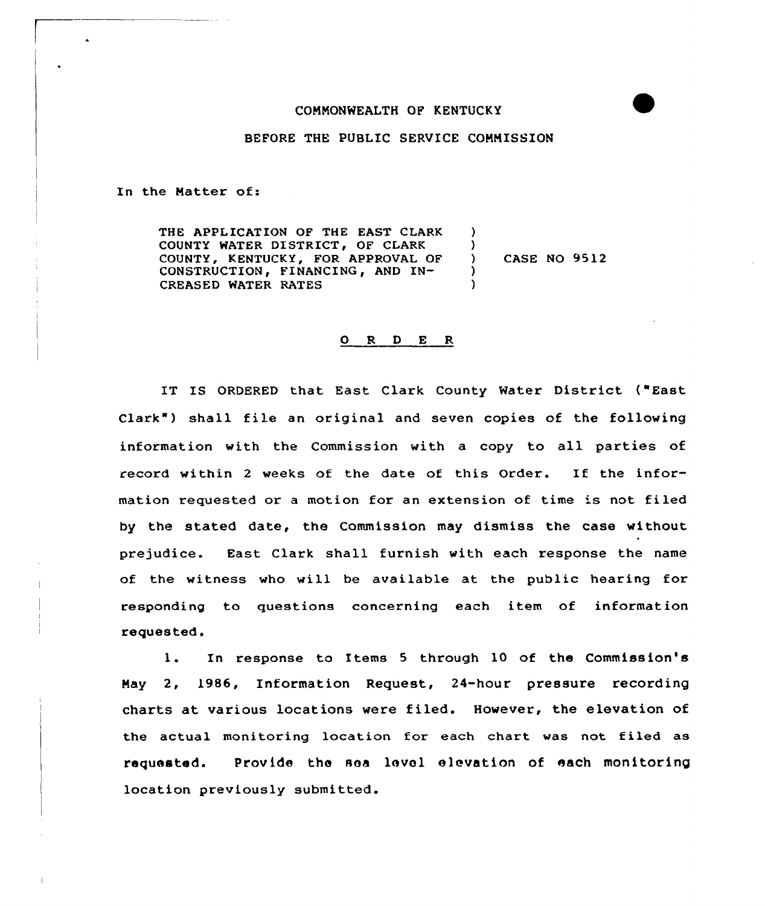#### COMMONWEALTH OF KENTUCKY



## BEFORE THE PUBLIC SERVICE COMMISSION

In the Natter of:

THE APPLICATION OF THE EAST CLARK COUNTY WATER DISTRICT, OF CLARK COUNTY, KENTUCKY, FOR APPROVAL OF CONSTRUCTION, FINANCING, AND IN-CREASED WATER RATES ) )<br>) ) CASE NO 9512 ) )

### 0 <sup>R</sup> <sup>D</sup> E <sup>R</sup>

IT IS ORDERED that East Clark County Water District ("East Clark" ) shall file an original and seven copies of the following information with the Commission with <sup>a</sup> copy to all parties of record within <sup>2</sup> weeks of the date of this Order. If the information requested or a motion for an extension of time is not filed by the stated date, the Commission may dismiss the case without prejudice. East Clark shall furnish with each response the name of the witness who will be available at the public hearing for responding to questions concerning each item of information requested.

1. In response to Items <sup>5</sup> through <sup>10</sup> of the Commission's May 2, 1986, Information Request, 24-hour pressure recording charts at various locations were filed. However, the elevation of the actual monitoring location for each chart was not filed as requested. Provide the sea level elevation of each monitoring location previously submitted.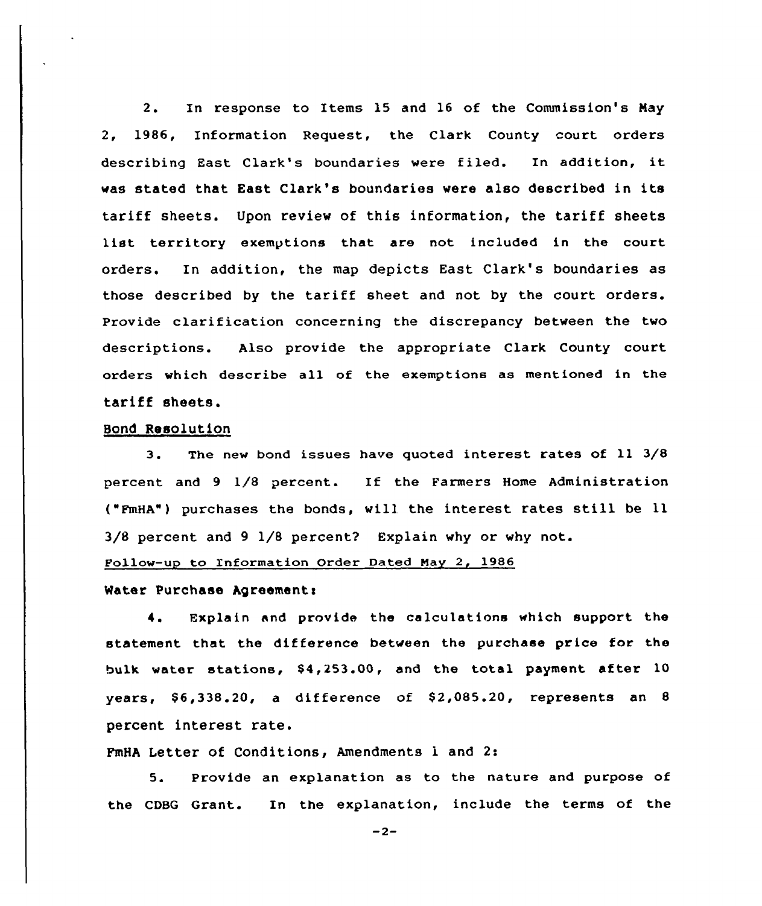2. In response to Items 15 and 16 of the Commission's May 2, 1986, Information Request, the Clark County court orders describing East Clark's boundaries were filed. In addition, it was stated that East Clark's boundaries vere also described in its tariff sheets. Upon reviev of this information, the tariff sheets list territory exemptions that are not included in the court orders. In addition, the map depicts East Clark's boundaries as those described by the tariff sheet and not by the court orders. Provide clarification concerning the discrepancy between the two descriptions. Also provide the appropriate Clark County court orders which describe al1 of the exemptions as mentioned in the tariff sheets.

#### Bond Resolution

3. The new bond issues have quoted interest rates of ll 3/8 percent and <sup>9</sup> 1/8 percent. If the Farmers Home Administration ("FmHA"} purchases the bonds, vill the interest rates still be ll 3/8 percent and 9 1/8 percent? Explain vhy or why not.

Pollow-up to Information Order Dated Nay 2, 1986

# Water Purchase Agreement:

4. Explain and provide the calculations which support the statement that the difference between the purchase price for the bulk water stations, \$4,253.00, and the total payment after 10 years,  $$6,338.20$ , a difference of  $$2,085.20$ , represents an 8 percent interest rate.

FmHA Letter of Conditions, Amendments 1 and 2:

5. Provide an explanation as to the nature and purpose of the CDBG Grant. In the explanation, include the terms of the

 $-2-$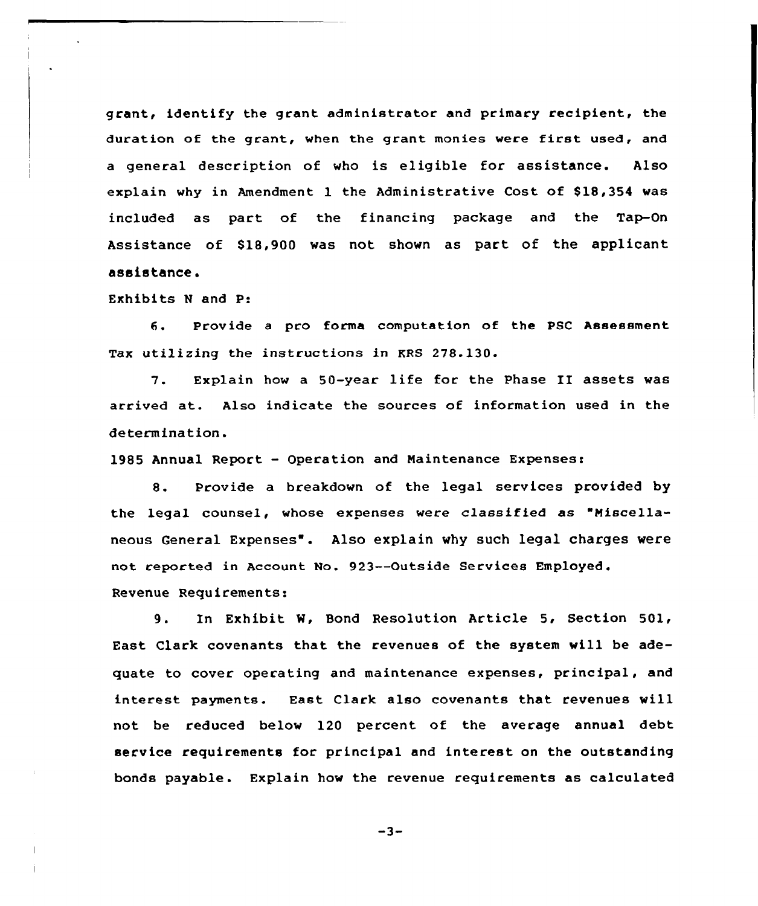grant, identify the grant administrator and primary recipient, the duration of the grant, when the grant monies were first used, and a general description of who is eligible for assistance. Also explain why in Amendment 1 the Administrative Cost of \$18,354 was included as part of the financing package and the Tap-On Assistance of \$18,900 was not shown as part of the applicant assistance.

Exhibits <sup>N</sup> and P:

6. Provide <sup>a</sup> pro forma computation of the PSC Assessment Tax utilizing the instructions in KRS 278.130.

7. Explain how <sup>a</sup> 50-year life for the Phase II assets was arrived at. Also indicate the sources of information used in the determination.

1985 Annual Report — Operation and Maintenance Expenses:

8. Provide a breakdown of the legal services provided by the legal counsel, whose expenses were classified as "Miscellaneous General Expenses". Also explain why such legal charges were not reported in Account No. 923--Outside Services Employed. Revenue Requirements:

9. In Exhibit W, Bond Resolution Article 5, Section 501, East Clark covenants that the revenues of the system will be adequate to cover operating and maintenance expenses, principal, and interest Payments. East Clark also covenants that revenues will not be reduced below 120 percent of the average annual debt service requirements for principal and interest on the outstanding bonds payable . Explain how the revenue requirements as calculated

 $-3-$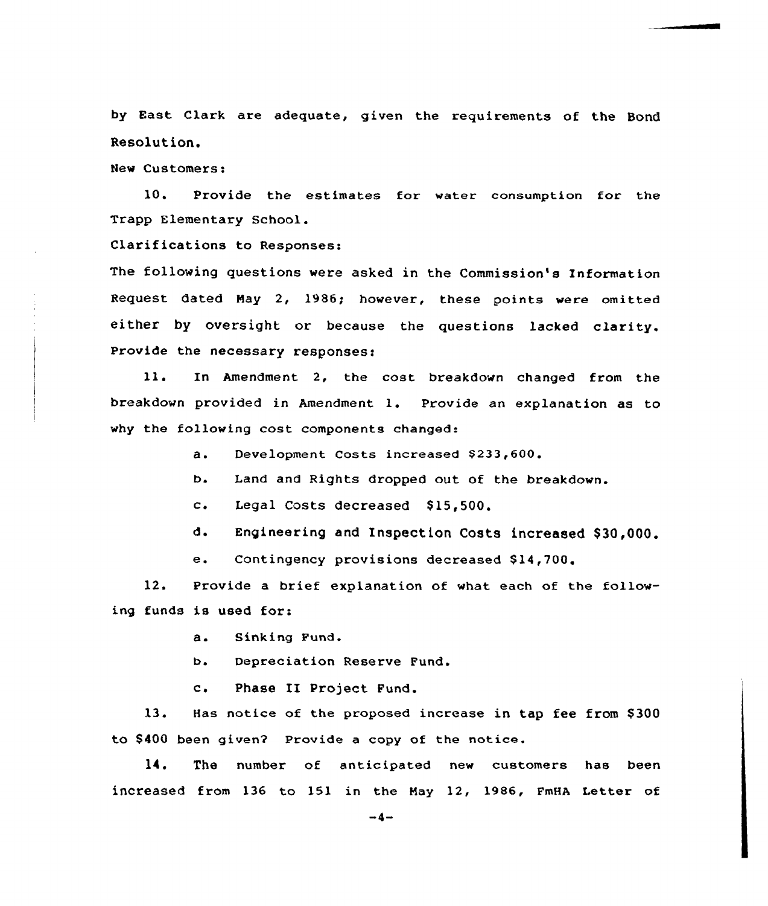by East Clark are adequate, given the requirements of the Bond Resolution.

Hew Customers:

10. Provide the estimates for water consumption for the Trapp Elementary School.

Clarifications to Responses:

The following questions were asked in the Commission's Information Request dated Hay 2, 1986; however, these points were omitted either by oversight or because the questions lacked clarity. Provide the necessary responses:

ll. In Amendment 2, the cost breakdown changed from the breakdown provided in Amendment 1. Provide an explanation as to why the following cost components changed:

a. Development Costs increased \$233,600.

b. Land and Rights dropped out of the breakdown.

c. Legal Costs decreased \$15,500.

d. Engineering and Inspection Costs increased \$ 30,000.

e. Contingency provisions decreased \$14,700.

12. Provide a brief explanation of what each of the following funds is used for:

a. Sinking Fund.

b. Depreciation Reserve Fund.

c. Phase II Project Fund.

13. Has notice of the proposed increase in tap fee from \$300 to \$400 been given2 Provide a copy of the notice.

14. The number of anticipated new customers has been increased from 136 to 151 in the Hay 12, 1986, FmHA Letter of

 $-4-$